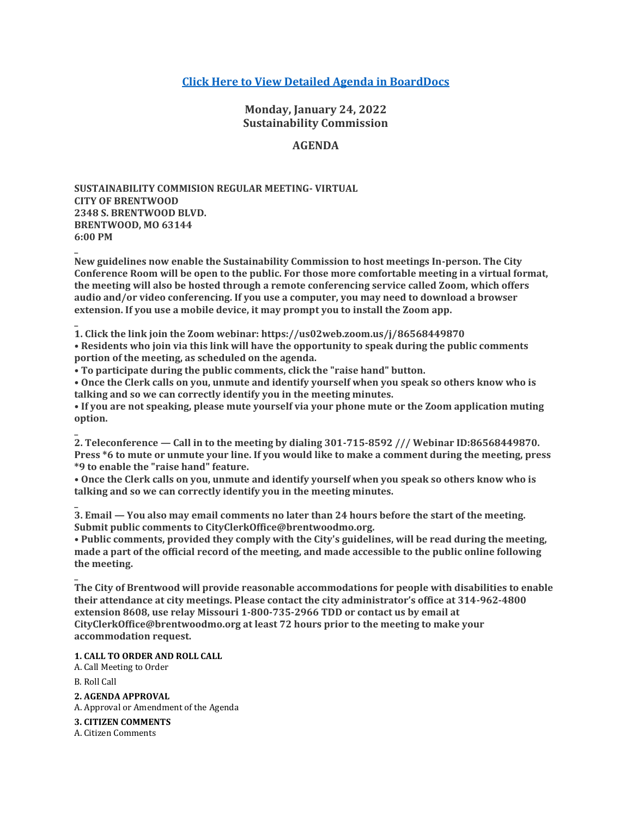# **[Click Here to View Detailed Agenda in BoardDocs](http://go.boarddocs.com/mo/cob/Board.nsf/goto?open&id=C9HTD271F45D)**

**Monday, January 24, 2022 Sustainability Commission**

## **AGENDA**

**SUSTAINABILITY COMMISION REGULAR MEETING- VIRTUAL CITY OF BRENTWOOD 2348 S. BRENTWOOD BLVD. BRENTWOOD, MO 63144 6:00 PM**

**New guidelines now enable the Sustainability Commission to host meetings In-person. The City Conference Room will be open to the public. For those more comfortable meeting in a virtual format, the meeting will also be hosted through a remote conferencing service called Zoom, which offers audio and/or video conferencing. If you use a computer, you may need to download a browser extension. If you use a mobile device, it may prompt you to install the Zoom app.**

**1. Click the link join the Zoom webinar: https://us02web.zoom.us/j/86568449870**

**• Residents who join via this link will have the opportunity to speak during the public comments portion of the meeting, as scheduled on the agenda.**

**• To participate during the public comments, click the "raise hand" button.**

**• Once the Clerk calls on you, unmute and identify yourself when you speak so others know who is talking and so we can correctly identify you in the meeting minutes.**

**• If you are not speaking, please mute yourself via your phone mute or the Zoom application muting option.**

**2. Teleconference — Call in to the meeting by dialing 301-715-8592 /// Webinar ID:86568449870. Press \*6 to mute or unmute your line. If you would like to make a comment during the meeting, press \*9 to enable the "raise hand" feature.**

**• Once the Clerk calls on you, unmute and identify yourself when you speak so others know who is talking and so we can correctly identify you in the meeting minutes.**

**3. Email — You also may email comments no later than 24 hours before the start of the meeting. Submit public comments to CityClerkOffice@brentwoodmo.org.**

**• Public comments, provided they comply with the City's guidelines, will be read during the meeting, made a part of the official record of the meeting, and made accessible to the public online following the meeting.**

**The City of Brentwood will provide reasonable accommodations for people with disabilities to enable their attendance at city meetings. Please contact the city administrator's office at 314-962-4800 extension 8608, use relay Missouri 1-800-735-2966 TDD or contact us by email at CityClerkOffice@brentwoodmo.org at least 72 hours prior to the meeting to make your accommodation request.**

### **1. CALL TO ORDER AND ROLL CALL**

A. Call Meeting to Order

B. Roll Call

**\_**

**\_**

**\_**

**\_**

**\_**

**2. AGENDA APPROVAL**

A. Approval or Amendment of the Agenda

**3. CITIZEN COMMENTS**

A. Citizen Comments